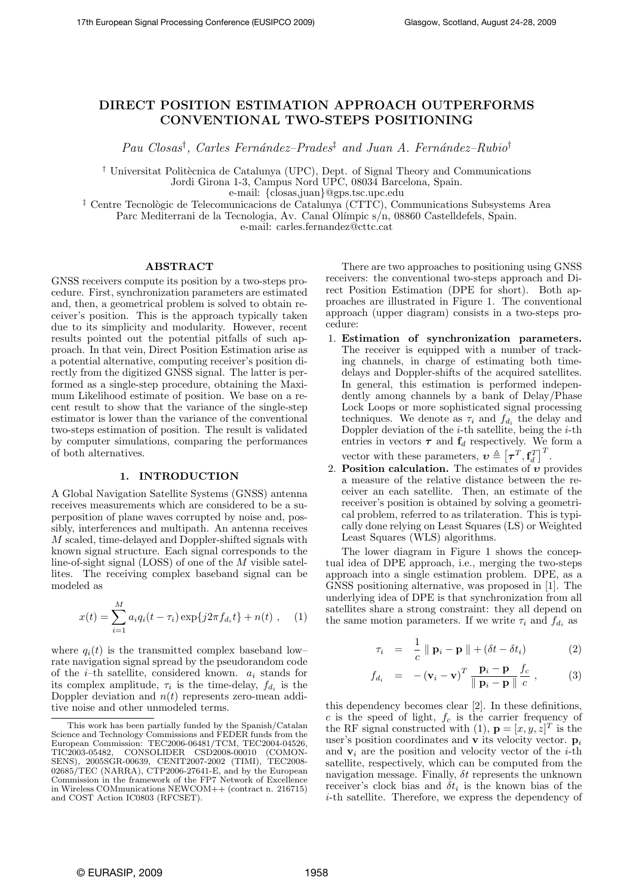# DIRECT POSITION ESTIMATION APPROACH OUTPERFORMS CONVENTIONAL TWO-STEPS POSITIONING

Pau Closas<sup>†</sup>, Carles Fernández-Prades<sup>‡</sup> and Juan A. Fernández-Rubio<sup>†</sup>

<sup> $\dagger$ </sup> Universitat Politècnica de Catalunya (UPC), Dept. of Signal Theory and Communications Jordi Girona 1-3, Campus Nord UPC, 08034 Barcelona, Spain. e-mail: {closas,juan}@gps.tsc.upc.edu

<sup>‡</sup> Centre Tecnològic de Telecomunicacions de Catalunya (CTTC), Communications Subsystems Area Parc Mediterrani de la Tecnologia, Av. Canal Olímpic s/n, 08860 Castelldefels, Spain.

e-mail: carles.fernandez@cttc.cat

## ABSTRACT

GNSS receivers compute its position by a two-steps procedure. First, synchronization parameters are estimated and, then, a geometrical problem is solved to obtain receiver's position. This is the approach typically taken due to its simplicity and modularity. However, recent results pointed out the potential pitfalls of such approach. In that vein, Direct Position Estimation arise as a potential alternative, computing receiver's position directly from the digitized GNSS signal. The latter is performed as a single-step procedure, obtaining the Maximum Likelihood estimate of position. We base on a recent result to show that the variance of the single-step estimator is lower than the variance of the conventional two-steps estimation of position. The result is validated by computer simulations, comparing the performances of both alternatives.

## 1. INTRODUCTION

A Global Navigation Satellite Systems (GNSS) antenna receives measurements which are considered to be a superposition of plane waves corrupted by noise and, possibly, interferences and multipath. An antenna receives M scaled, time-delayed and Doppler-shifted signals with known signal structure. Each signal corresponds to the line-of-sight signal (LOSS) of one of the M visible satellites. The receiving complex baseband signal can be modeled as

$$
x(t) = \sum_{i=1}^{M} a_i q_i (t - \tau_i) \exp\{j2\pi f_{d_i} t\} + n(t) , \quad (1)
$$

where  $q_i(t)$  is the transmitted complex baseband low– rate navigation signal spread by the pseudorandom code of the *i*-th satellite, considered known.  $a_i$  stands for its complex amplitude,  $\tau_i$  is the time-delay,  $f_{d_i}$  is the Doppler deviation and  $n(t)$  represents zero-mean additive noise and other unmodeled terms.

There are two approaches to positioning using GNSS receivers: the conventional two-steps approach and Direct Position Estimation (DPE for short). Both approaches are illustrated in Figure 1. The conventional approach (upper diagram) consists in a two-steps procedure:

- 1. Estimation of synchronization parameters. The receiver is equipped with a number of tracking channels, in charge of estimating both timedelays and Doppler-shifts of the acquired satellites. In general, this estimation is performed independently among channels by a bank of Delay/Phase Lock Loops or more sophisticated signal processing techniques. We denote as  $\tau_i$  and  $f_{d_i}$  the delay and Doppler deviation of the  $i$ -th satellite, being the  $i$ -th entries in vectors  $\tau$  and  $\mathbf{f}_d$  respectively. We form a vector with these parameters,  $v \triangleq [\tau^T, \mathbf{f}_d^T]$  $\prod_{i=1}^{n}$
- 2. **Position calculation.** The estimates of  $v$  provides a measure of the relative distance between the receiver an each satellite. Then, an estimate of the receiver's position is obtained by solving a geometrical problem, referred to as trilateration. This is typically done relying on Least Squares (LS) or Weighted Least Squares (WLS) algorithms.

The lower diagram in Figure 1 shows the conceptual idea of DPE approach, i.e., merging the two-steps approach into a single estimation problem. DPE, as a GNSS positioning alternative, was proposed in [1]. The underlying idea of DPE is that synchronization from all satellites share a strong constraint: they all depend on the same motion parameters. If we write  $\tau_i$  and  $f_{d_i}$  as

$$
\tau_i = \frac{1}{c} \parallel \mathbf{p}_i - \mathbf{p} \parallel + (\delta t - \delta t_i) \tag{2}
$$

$$
f_{d_i} = -(\mathbf{v}_i - \mathbf{v})^T \frac{\mathbf{p}_i - \mathbf{p}}{\parallel \mathbf{p}_i - \mathbf{p} \parallel c}, \qquad (3)
$$

this dependency becomes clear [2]. In these definitions, c is the speed of light,  $f_c$  is the carrier frequency of the RF signal constructed with (1),  $\mathbf{p} = [x, y, z]^T$  is the user's position coordinates and  $\bf{v}$  its velocity vector.  $\bf{p}_i$ and  $v_i$  are the position and velocity vector of the *i*-th satellite, respectively, which can be computed from the navigation message. Finally,  $\delta t$  represents the unknown receiver's clock bias and  $\delta t_i$  is the known bias of the i-th satellite. Therefore, we express the dependency of

This work has been partially funded by the Spanish/Catalan Science and Technology Commissions and FEDER funds from the European Commission: TEC2006-06481/TCM, TEC2004-04526, TIC2003-05482, CONSOLIDER CSD2008-00010 (COMON-SENS), 2005SGR-00639, CENIT2007-2002 (TIMI), TEC2008- 02685/TEC (NARRA), CTP2006-27641-E, and by the European Commission in the framework of the FP7 Network of Excellence in Wireless COMmunications NEWCOM++ (contract n. 216715) and COST Action IC0803 (RFCSET).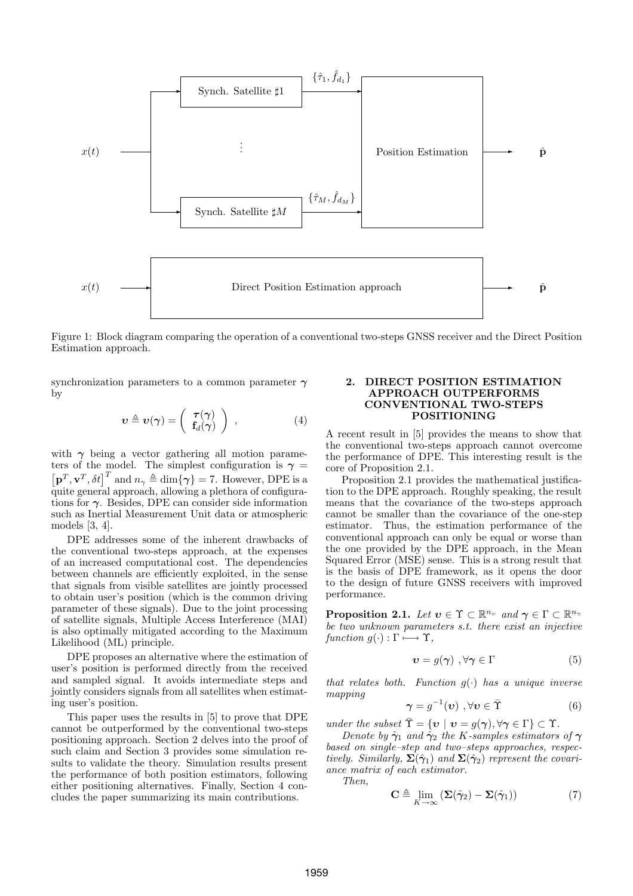

Figure 1: Block diagram comparing the operation of a conventional two-steps GNSS receiver and the Direct Position Estimation approach.

synchronization parameters to a common parameter  $\gamma$ by

$$
\boldsymbol{v} \triangleq \boldsymbol{v}(\boldsymbol{\gamma}) = \left(\begin{array}{c} \boldsymbol{\tau}(\boldsymbol{\gamma}) \\ \mathbf{f}_d(\boldsymbol{\gamma}) \end{array}\right) , \qquad (4)
$$

with  $\gamma$  being a vector gathering all motion parameters of the model. The simplest configuration is  $\gamma =$  $\mathbf{p}^T, \mathbf{v}^T, \delta t \big|^T$  and  $n_\gamma \triangleq \dim\{\gamma\} = 7$ . However, DPE is a quite general approach, allowing a plethora of configurations for  $\gamma$ . Besides, DPE can consider side information such as Inertial Measurement Unit data or atmospheric models [3, 4].

DPE addresses some of the inherent drawbacks of the conventional two-steps approach, at the expenses of an increased computational cost. The dependencies between channels are efficiently exploited, in the sense that signals from visible satellites are jointly processed to obtain user's position (which is the common driving parameter of these signals). Due to the joint processing of satellite signals, Multiple Access Interference (MAI) is also optimally mitigated according to the Maximum Likelihood (ML) principle.

DPE proposes an alternative where the estimation of user's position is performed directly from the received and sampled signal. It avoids intermediate steps and jointly considers signals from all satellites when estimating user's position.

This paper uses the results in [5] to prove that DPE cannot be outperformed by the conventional two-steps positioning approach. Section 2 delves into the proof of such claim and Section 3 provides some simulation results to validate the theory. Simulation results present the performance of both position estimators, following either positioning alternatives. Finally, Section 4 concludes the paper summarizing its main contributions.

# 2. DIRECT POSITION ESTIMATION APPROACH OUTPERFORMS CONVENTIONAL TWO-STEPS POSITIONING

A recent result in [5] provides the means to show that the conventional two-steps approach cannot overcome the performance of DPE. This interesting result is the core of Proposition 2.1.

Proposition 2.1 provides the mathematical justification to the DPE approach. Roughly speaking, the result means that the covariance of the two-steps approach cannot be smaller than the covariance of the one-step estimator. Thus, the estimation performance of the conventional approach can only be equal or worse than the one provided by the DPE approach, in the Mean Squared Error (MSE) sense. This is a strong result that is the basis of DPE framework, as it opens the door to the design of future GNSS receivers with improved performance.

**Proposition 2.1.** Let  $v \in \Upsilon \subset \mathbb{R}^{n_v}$  and  $\gamma \in \Gamma \subset \mathbb{R}^{n_{\gamma}}$ be two unknown parameters s.t. there exist an injective function  $g(\cdot) : \Gamma \longmapsto \Upsilon$ ,

$$
\mathbf{v} = g(\boldsymbol{\gamma}) \ , \forall \boldsymbol{\gamma} \in \Gamma \tag{5}
$$

that relates both. Function  $g(\cdot)$  has a unique inverse mapping

$$
\gamma = g^{-1}(\boldsymbol{\upsilon}) \ , \forall \boldsymbol{\upsilon} \in \bar{\Upsilon} \tag{6}
$$

under the subset  $\Upsilon = \{v \mid v = g(\gamma), \forall \gamma \in \Gamma\} \subset \Upsilon$ .

Denote by  $\hat{\gamma}_1$  and  $\hat{\gamma}_2$  the K-samples estimators of  $\gamma$ based on single–step and two–steps approaches, respectively. Similarly,  $\Sigma(\hat{\gamma}_1)$  and  $\Sigma(\hat{\gamma}_2)$  represent the covariance matrix of each estimator.

Then,

$$
\mathbf{C} \triangleq \lim_{K \to \infty} \left( \mathbf{\Sigma}(\hat{\boldsymbol{\gamma}}_2) - \mathbf{\Sigma}(\hat{\boldsymbol{\gamma}}_1) \right) \tag{7}
$$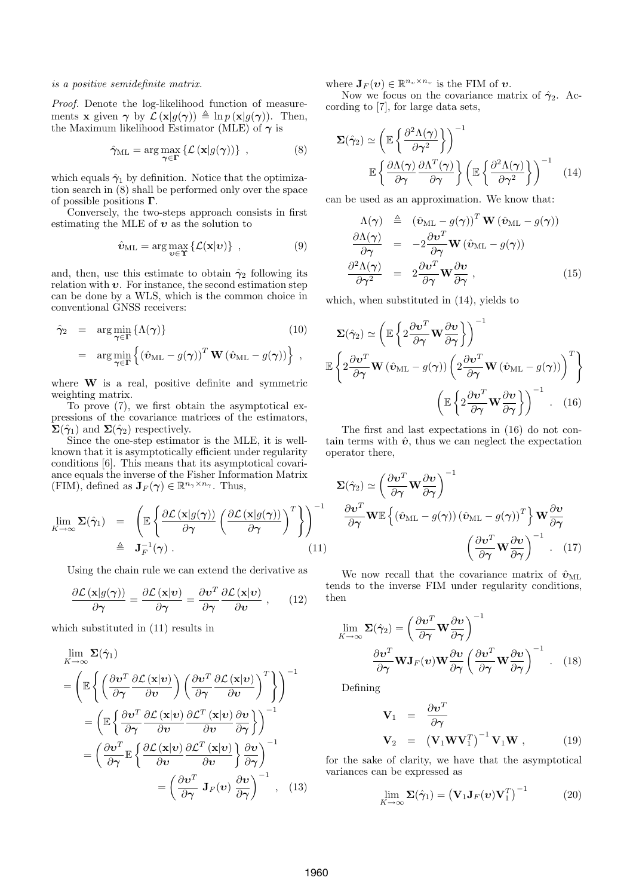#### is a positive semidefinite matrix.

Proof. Denote the log-likelihood function of measurements **x** given  $\gamma$  by  $\mathcal{L}(\mathbf{x}|q(\gamma)) \triangleq \ln p(\mathbf{x}|q(\gamma))$ . Then, the Maximum likelihood Estimator (MLE) of  $\gamma$  is

$$
\hat{\gamma}_{\text{ML}} = \arg \max_{\gamma \in \Gamma} \left\{ \mathcal{L} \left( \mathbf{x} | g(\gamma) \right) \right\} , \tag{8}
$$

which equals  $\hat{\gamma}_1$  by definition. Notice that the optimization search in (8) shall be performed only over the space of possible positions  $\Gamma$ .

Conversely, the two-steps approach consists in first estimating the MLE of  $\boldsymbol{v}$  as the solution to

$$
\hat{\boldsymbol{v}}_{\text{ML}} = \arg \max_{\boldsymbol{v} \in \Upsilon} \left\{ \mathcal{L}(\mathbf{x}|\boldsymbol{v}) \right\} , \qquad (9)
$$

and, then, use this estimate to obtain  $\hat{\gamma}_2$  following its relation with  $v$ . For instance, the second estimation step can be done by a WLS, which is the common choice in conventional GNSS receivers:

$$
\hat{\gamma}_2 = \arg\min_{\gamma \in \Gamma} \{ \Lambda(\gamma) \} \qquad (10)
$$

$$
= \arg\min_{\gamma \in \Gamma} \left\{ (\hat{\mathbf{v}}_{\mathrm{ML}} - g(\gamma))^T \mathbf{W} (\hat{\mathbf{v}}_{\mathrm{ML}} - g(\gamma)) \right\} ,
$$

where **W** is a real, positive definite and symmetric weighting matrix.

To prove (7), we first obtain the asymptotical expressions of the covariance matrices of the estimators,  $\Sigma(\hat{\gamma}_1)$  and  $\Sigma(\hat{\gamma}_2)$  respectively.

Since the one-step estimator is the MLE, it is wellknown that it is asymptotically efficient under regularity conditions [6]. This means that its asymptotical covariance equals the inverse of the Fisher Information Matrix  $(FIM)$ , defined as  $J_F(\gamma) \in \mathbb{R}^{n_\gamma \times n_\gamma}$ . Thus,

$$
\lim_{K \to \infty} \mathbf{\Sigma}(\hat{\boldsymbol{\gamma}}_1) = \left( \mathbb{E} \left\{ \frac{\partial \mathcal{L}(\mathbf{x}|g(\boldsymbol{\gamma}))}{\partial \boldsymbol{\gamma}} \left( \frac{\partial \mathcal{L}(\mathbf{x}|g(\boldsymbol{\gamma}))}{\partial \boldsymbol{\gamma}} \right)^T \right\} \right)^{-1} \newline \triangleq \mathbf{J}_F^{-1}(\boldsymbol{\gamma}). \tag{11}
$$

Using the chain rule we can extend the derivative as

$$
\frac{\partial \mathcal{L}\left(\mathbf{x} | g(\boldsymbol{\gamma})\right)}{\partial \boldsymbol{\gamma}} = \frac{\partial \mathcal{L}\left(\mathbf{x} | \boldsymbol{\upsilon}\right)}{\partial \boldsymbol{\gamma}} = \frac{\partial \boldsymbol{\upsilon}^T}{\partial \boldsymbol{\gamma}} \frac{\partial \mathcal{L}\left(\mathbf{x} | \boldsymbol{\upsilon}\right)}{\partial \boldsymbol{\upsilon}},\qquad(12)
$$

which substituted in (11) results in

$$
\lim_{K \to \infty} \Sigma(\hat{\gamma}_1)
$$
\n
$$
= \left( \mathbb{E} \left\{ \left( \frac{\partial v^T}{\partial \gamma} \frac{\partial \mathcal{L}(\mathbf{x}|\mathbf{v})}{\partial \mathbf{v}} \right) \left( \frac{\partial v^T}{\partial \gamma} \frac{\partial \mathcal{L}(\mathbf{x}|\mathbf{v})}{\partial \mathbf{v}} \right)^T \right\} \right)^{-1}
$$
\n
$$
= \left( \mathbb{E} \left\{ \frac{\partial v^T}{\partial \gamma} \frac{\partial \mathcal{L}(\mathbf{x}|\mathbf{v})}{\partial \mathbf{v}} \frac{\partial \mathcal{L}^T(\mathbf{x}|\mathbf{v})}{\partial \mathbf{v}} \frac{\partial \mathbf{v}}{\partial \gamma} \right\} \right)^{-1}
$$
\n
$$
= \left( \frac{\partial v^T}{\partial \gamma} \mathbb{E} \left\{ \frac{\partial \mathcal{L}(\mathbf{x}|\mathbf{v})}{\partial \mathbf{v}} \frac{\partial \mathcal{L}^T(\mathbf{x}|\mathbf{v})}{\partial \mathbf{v}} \right\} \frac{\partial \mathbf{v}}{\partial \gamma} \right)^{-1}
$$
\n
$$
= \left( \frac{\partial v^T}{\partial \gamma} \mathbf{J}_F(\mathbf{v}) \frac{\partial v}{\partial \gamma} \right)^{-1}, \quad (13)
$$

where  $\mathbf{J}_F(\boldsymbol{v}) \in \mathbb{R}^{n_v \times n_v}$  is the FIM of  $\boldsymbol{v}$ .

Now we focus on the covariance matrix of  $\hat{\gamma}_2$ . According to [7], for large data sets,

$$
\Sigma(\hat{\gamma}_2) \simeq \left(\mathbb{E}\left\{\frac{\partial^2 \Lambda(\gamma)}{\partial \gamma^2}\right\}\right)^{-1}
$$

$$
\mathbb{E}\left\{\frac{\partial \Lambda(\gamma)}{\partial \gamma} \frac{\partial \Lambda^T(\gamma)}{\partial \gamma}\right\} \left(\mathbb{E}\left\{\frac{\partial^2 \Lambda(\gamma)}{\partial \gamma^2}\right\}\right)^{-1} (14)
$$

can be used as an approximation. We know that:

$$
\Lambda(\gamma) \triangleq (\hat{\boldsymbol{v}}_{\text{ML}} - g(\gamma))^T \mathbf{W} (\hat{\boldsymbol{v}}_{\text{ML}} - g(\gamma))
$$
\n
$$
\frac{\partial \Lambda(\gamma)}{\partial \gamma} = -2 \frac{\partial \boldsymbol{v}^T}{\partial \gamma} \mathbf{W} (\hat{\boldsymbol{v}}_{\text{ML}} - g(\gamma))
$$
\n
$$
\frac{\partial^2 \Lambda(\gamma)}{\partial \gamma^2} = 2 \frac{\partial \boldsymbol{v}^T}{\partial \gamma} \mathbf{W} \frac{\partial \boldsymbol{v}}{\partial \gamma},
$$
\n(15)

which, when substituted in (14), yields to

$$
\Sigma(\hat{\gamma}_2) \simeq \left( \mathbb{E} \left\{ 2 \frac{\partial \mathbf{v}^T}{\partial \gamma} \mathbf{W} \frac{\partial \mathbf{v}}{\partial \gamma} \right\} \right)^{-1}
$$

$$
\mathbb{E} \left\{ 2 \frac{\partial \mathbf{v}^T}{\partial \gamma} \mathbf{W} \left( \hat{\mathbf{v}}_{\mathrm{ML}} - g(\gamma) \right) \left( 2 \frac{\partial \mathbf{v}^T}{\partial \gamma} \mathbf{W} \left( \hat{\mathbf{v}}_{\mathrm{ML}} - g(\gamma) \right) \right)^T \right\}
$$

$$
\left( \mathbb{E} \left\{ 2 \frac{\partial \mathbf{v}^T}{\partial \gamma} \mathbf{W} \frac{\partial \mathbf{v}}{\partial \gamma} \right\} \right)^{-1} . \quad (16)
$$

The first and last expectations in (16) do not contain terms with  $\hat{v}$ , thus we can neglect the expectation operator there,

$$
\Sigma(\hat{\gamma}_2) \simeq \left(\frac{\partial \mathbf{v}^T}{\partial \gamma} \mathbf{W} \frac{\partial \mathbf{v}}{\partial \gamma}\right)^{-1} \n\frac{\partial \mathbf{v}^T}{\partial \gamma} \mathbf{W} \mathbb{E} \left\{ \left(\hat{\mathbf{v}}_{\mathrm{ML}} - g(\gamma)\right) \left(\hat{\mathbf{v}}_{\mathrm{ML}} - g(\gamma)\right)^T \right\} \mathbf{W} \frac{\partial \mathbf{v}}{\partial \gamma} \n\left(\frac{\partial \mathbf{v}^T}{\partial \gamma} \mathbf{W} \frac{\partial \mathbf{v}}{\partial \gamma}\right)^{-1} .
$$
\n(17)

We now recall that the covariance matrix of  $\hat{v}_{ML}$ tends to the inverse FIM under regularity conditions, then

$$
\lim_{K \to \infty} \Sigma(\hat{\gamma}_2) = \left(\frac{\partial \mathbf{v}^T}{\partial \gamma} \mathbf{W} \frac{\partial \mathbf{v}}{\partial \gamma}\right)^{-1} \n\frac{\partial \mathbf{v}^T}{\partial \gamma} \mathbf{W} \mathbf{J}_F(\mathbf{v}) \mathbf{W} \frac{\partial \mathbf{v}}{\partial \gamma} \left(\frac{\partial \mathbf{v}^T}{\partial \gamma} \mathbf{W} \frac{\partial \mathbf{v}}{\partial \gamma}\right)^{-1} .
$$
\n(18)

Defining

$$
\mathbf{V}_1 = \frac{\partial \mathbf{v}^T}{\partial \gamma}
$$
  
\n
$$
\mathbf{V}_2 = (\mathbf{V}_1 \mathbf{W} \mathbf{V}_1^T)^{-1} \mathbf{V}_1 \mathbf{W} , \qquad (19)
$$

for the sake of clarity, we have that the asymptotical variances can be expressed as

$$
\lim_{K \to \infty} \mathbf{\Sigma}(\hat{\gamma}_1) = \left(\mathbf{V}_1 \mathbf{J}_F(\boldsymbol{v}) \mathbf{V}_1^T\right)^{-1} \tag{20}
$$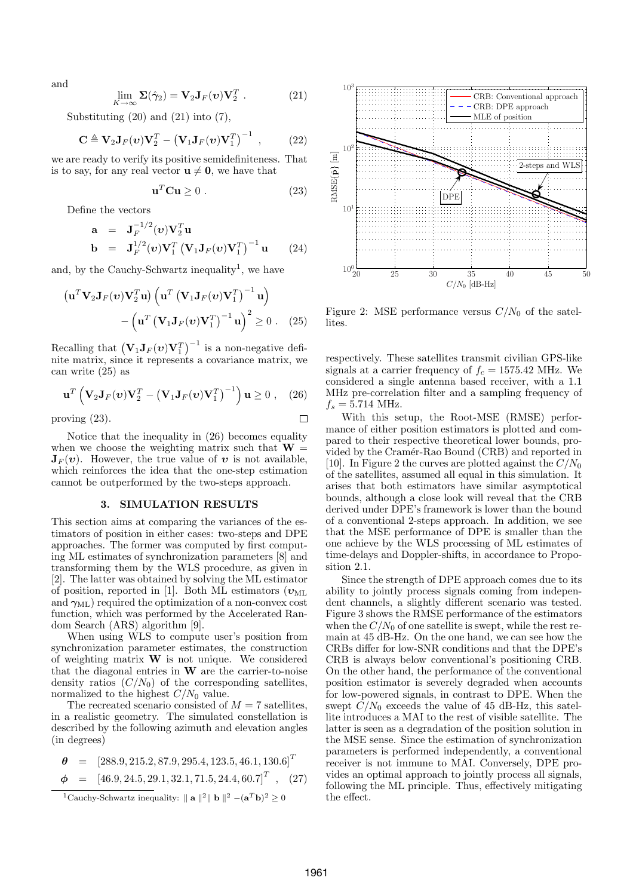and

$$
\lim_{K \to \infty} \Sigma(\hat{\gamma}_2) = \mathbf{V}_2 \mathbf{J}_F(\mathbf{v}) \mathbf{V}_2^T . \tag{21}
$$

Substituting  $(20)$  and  $(21)$  into  $(7)$ ,

$$
\mathbf{C} \triangleq \mathbf{V}_2 \mathbf{J}_F(\boldsymbol{v}) \mathbf{V}_2^T - \left(\mathbf{V}_1 \mathbf{J}_F(\boldsymbol{v}) \mathbf{V}_1^T\right)^{-1} , \qquad (22)
$$

we are ready to verify its positive semidefiniteness. That is to say, for any real vector  $\mathbf{u} \neq \mathbf{0}$ , we have that

$$
\mathbf{u}^T \mathbf{C} \mathbf{u} \ge 0 \tag{23}
$$

Define the vectors

$$
\mathbf{a} = \mathbf{J}_F^{-1/2}(\mathbf{v}) \mathbf{V}_2^T \mathbf{u}
$$
  
\n
$$
\mathbf{b} = \mathbf{J}_F^{1/2}(\mathbf{v}) \mathbf{V}_1^T (\mathbf{V}_1 \mathbf{J}_F(\mathbf{v}) \mathbf{V}_1^T)^{-1} \mathbf{u}
$$
 (24)

and, by the Cauchy-Schwartz inequality<sup>1</sup>, we have

$$
\left(\mathbf{u}^T \mathbf{V}_2 \mathbf{J}_F(\boldsymbol{v}) \mathbf{V}_2^T \mathbf{u}\right) \left(\mathbf{u}^T \left(\mathbf{V}_1 \mathbf{J}_F(\boldsymbol{v}) \mathbf{V}_1^T\right)^{-1} \mathbf{u}\right) - \left(\mathbf{u}^T \left(\mathbf{V}_1 \mathbf{J}_F(\boldsymbol{v}) \mathbf{V}_1^T\right)^{-1} \mathbf{u}\right)^2 \ge 0.
$$
 (25)

Recalling that  $({\bf V}_1 {\bf J}_F({\boldsymbol v}) {\bf V}_1^T)$  $t^{-1}$  is a non-negative definite matrix, since it represents a covariance matrix, we can write (25) as

$$
\mathbf{u}^T \left( \mathbf{V}_2 \mathbf{J}_F(\boldsymbol{v}) \mathbf{V}_2^T - \left( \mathbf{V}_1 \mathbf{J}_F(\boldsymbol{v}) \mathbf{V}_1^T \right)^{-1} \right) \mathbf{u} \ge 0 , \quad (26)
$$

proving (23).

Notice that the inequality in (26) becomes equality when we choose the weighting matrix such that  $W =$  $J_F(v)$ . However, the true value of v is not available, which reinforces the idea that the one-step estimation cannot be outperformed by the two-steps approach.

## 3. SIMULATION RESULTS

This section aims at comparing the variances of the estimators of position in either cases: two-steps and DPE approaches. The former was computed by first computing ML estimates of synchronization parameters [8] and transforming them by the WLS procedure, as given in [2]. The latter was obtained by solving the ML estimator of position, reported in [1]. Both ML estimators ( $v_{ML}$ and  $\gamma_{ML}$ ) required the optimization of a non-convex cost function, which was performed by the Accelerated Random Search (ARS) algorithm [9].

When using WLS to compute user's position from synchronization parameter estimates, the construction of weighting matrix  $\bf{W}$  is not unique. We considered that the diagonal entries in  $W$  are the carrier-to-noise density ratios  $(C/N_0)$  of the corresponding satellites, normalized to the highest  $C/N_0$  value.

The recreated scenario consisted of  $M = 7$  satellites, in a realistic geometry. The simulated constellation is described by the following azimuth and elevation angles (in degrees)

$$
\theta = [288.9, 215.2, 87.9, 295.4, 123.5, 46.1, 130.6]^T
$$
  
\n
$$
\phi = [46.9, 24.5, 29.1, 32.1, 71.5, 24.4, 60.7]^T
$$
, (27)  
\n<sup>1</sup>Cauchy-Schwartz inequality:  $\|\mathbf{a}\|^2 \|\mathbf{b}\|^2 - (\mathbf{a}^T \mathbf{b})^2 \ge 0$ 



Figure 2: MSE performance versus  $C/N_0$  of the satellites.

respectively. These satellites transmit civilian GPS-like signals at a carrier frequency of  $f_c = 1575.42$  MHz. We considered a single antenna based receiver, with a 1.1 MHz pre-correlation filter and a sampling frequency of  $f_s = 5.714 \text{ MHz}.$ 

With this setup, the Root-MSE (RMSE) performance of either position estimators is plotted and compared to their respective theoretical lower bounds, provided by the Cramér-Rao Bound (CRB) and reported in [10]. In Figure 2 the curves are plotted against the  $C/N_0$ of the satellites, assumed all equal in this simulation. It arises that both estimators have similar asymptotical bounds, although a close look will reveal that the CRB derived under DPE's framework is lower than the bound of a conventional 2-steps approach. In addition, we see that the MSE performance of DPE is smaller than the one achieve by the WLS processing of ML estimates of time-delays and Doppler-shifts, in accordance to Proposition 2.1.

Since the strength of DPE approach comes due to its ability to jointly process signals coming from independent channels, a slightly different scenario was tested. Figure 3 shows the RMSE performance of the estimators when the  $C/N_0$  of one satellite is swept, while the rest remain at 45 dB-Hz. On the one hand, we can see how the CRBs differ for low-SNR conditions and that the DPE's CRB is always below conventional's positioning CRB. On the other hand, the performance of the conventional position estimator is severely degraded when accounts for low-powered signals, in contrast to DPE. When the swept  $C/N_0$  exceeds the value of 45 dB-Hz, this satellite introduces a MAI to the rest of visible satellite. The latter is seen as a degradation of the position solution in the MSE sense. Since the estimation of synchronization parameters is performed independently, a conventional receiver is not immune to MAI. Conversely, DPE provides an optimal approach to jointly process all signals, following the ML principle. Thus, effectively mitigating the effect.

 $\Box$